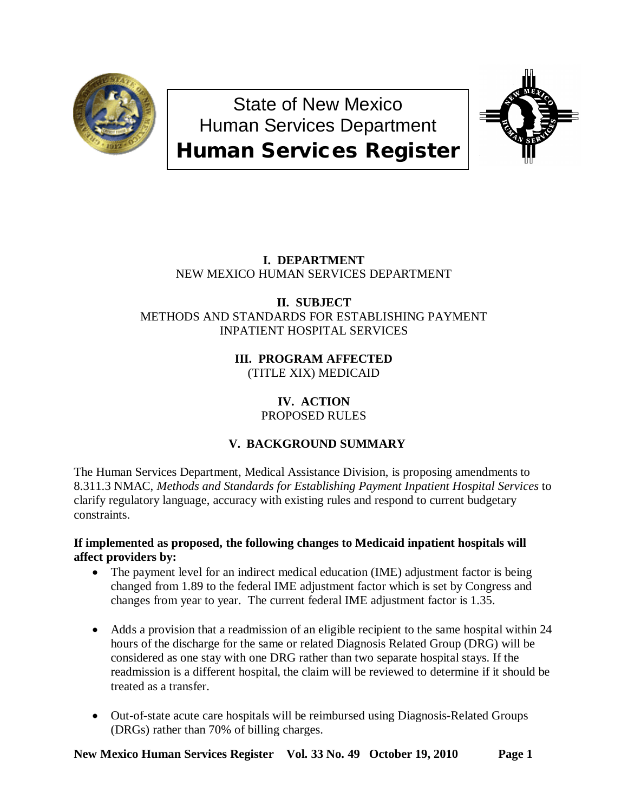

State of New Mexico Human Services Department Human Services Register



# **I. DEPARTMENT** NEW MEXICO HUMAN SERVICES DEPARTMENT

## **II. SUBJECT** METHODS AND STANDARDS FOR ESTABLISHING PAYMENT INPATIENT HOSPITAL SERVICES

## **III. PROGRAM AFFECTED** (TITLE XIX) MEDICAID

## **IV. ACTION** PROPOSED RULES

# **V. BACKGROUND SUMMARY**

The Human Services Department, Medical Assistance Division, is proposing amendments to 8.311.3 NMAC, *Methods and Standards for Establishing Payment Inpatient Hospital Services* to clarify regulatory language, accuracy with existing rules and respond to current budgetary constraints.

## **If implemented as proposed, the following changes to Medicaid inpatient hospitals will affect providers by:**

- The payment level for an indirect medical education (IME) adjustment factor is being changed from 1.89 to the federal IME adjustment factor which is set by Congress and changes from year to year. The current federal IME adjustment factor is 1.35.
- Adds a provision that a readmission of an eligible recipient to the same hospital within 24 hours of the discharge for the same or related Diagnosis Related Group (DRG) will be considered as one stay with one DRG rather than two separate hospital stays. If the readmission is a different hospital, the claim will be reviewed to determine if it should be treated as a transfer.
- Out-of-state acute care hospitals will be reimbursed using Diagnosis-Related Groups (DRGs) rather than 70% of billing charges.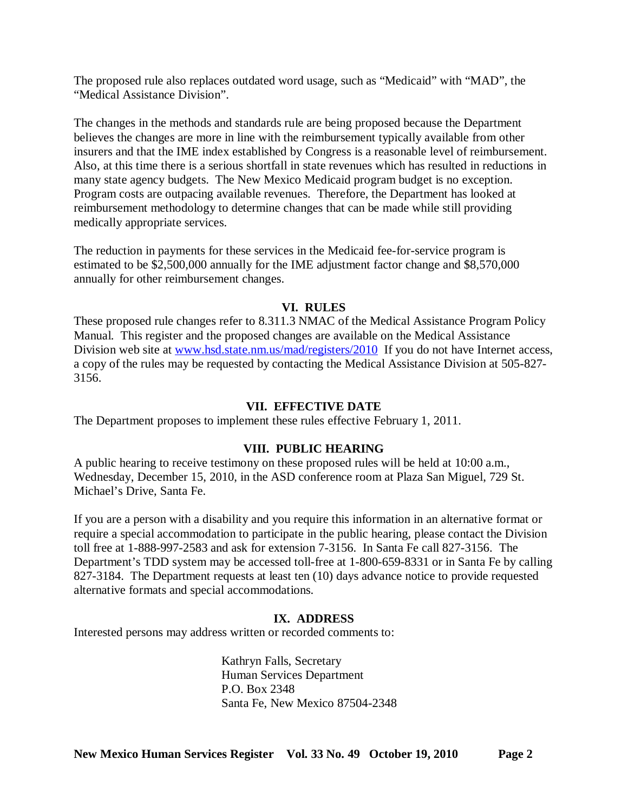The proposed rule also replaces outdated word usage, such as "Medicaid" with "MAD", the "Medical Assistance Division".

The changes in the methods and standards rule are being proposed because the Department believes the changes are more in line with the reimbursement typically available from other insurers and that the IME index established by Congress is a reasonable level of reimbursement. Also, at this time there is a serious shortfall in state revenues which has resulted in reductions in many state agency budgets. The New Mexico Medicaid program budget is no exception. Program costs are outpacing available revenues. Therefore, the Department has looked at reimbursement methodology to determine changes that can be made while still providing medically appropriate services.

The reduction in payments for these services in the Medicaid fee-for-service program is estimated to be \$2,500,000 annually for the IME adjustment factor change and \$8,570,000 annually for other reimbursement changes.

## **VI. RULES**

These proposed rule changes refer to 8.311.3 NMAC of the Medical Assistance Program Policy Manual. This register and the proposed changes are available on the Medical Assistance Division web site at [www.hsd.state.nm.us/mad/registers/2010](http://www.hsd.state.nm.us/mad/registers/2010) If you do not have Internet access, a copy of the rules may be requested by contacting the Medical Assistance Division at 505-827- 3156.

## **VII. EFFECTIVE DATE**

The Department proposes to implement these rules effective February 1, 2011.

## **VIII. PUBLIC HEARING**

A public hearing to receive testimony on these proposed rules will be held at 10:00 a.m., Wednesday, December 15, 2010, in the ASD conference room at Plaza San Miguel, 729 St. Michael's Drive, Santa Fe.

If you are a person with a disability and you require this information in an alternative format or require a special accommodation to participate in the public hearing, please contact the Division toll free at 1-888-997-2583 and ask for extension 7-3156. In Santa Fe call 827-3156. The Department's TDD system may be accessed toll-free at 1-800-659-8331 or in Santa Fe by calling 827-3184. The Department requests at least ten (10) days advance notice to provide requested alternative formats and special accommodations.

## **IX. ADDRESS**

Interested persons may address written or recorded comments to:

Kathryn Falls, Secretary Human Services Department P.O. Box 2348 Santa Fe, New Mexico 87504-2348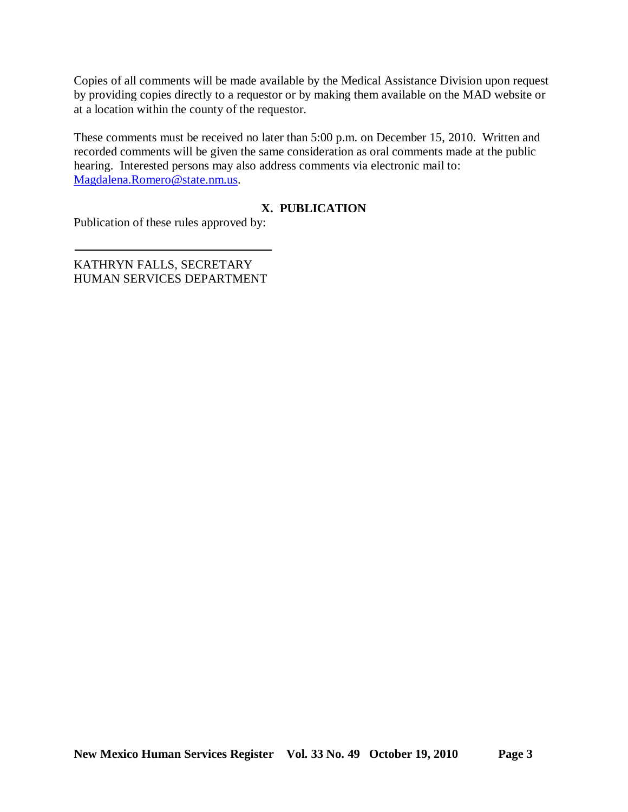Copies of all comments will be made available by the Medical Assistance Division upon request by providing copies directly to a requestor or by making them available on the MAD website or at a location within the county of the requestor.

These comments must be received no later than 5:00 p.m. on December 15, 2010. Written and recorded comments will be given the same consideration as oral comments made at the public hearing. Interested persons may also address comments via electronic mail to: [Magdalena.Romero@state.nm.us.](mailto:Magdalena.Romero@state.nm.us)

## **X. PUBLICATION**

Publication of these rules approved by:

KATHRYN FALLS, SECRETARY HUMAN SERVICES DEPARTMENT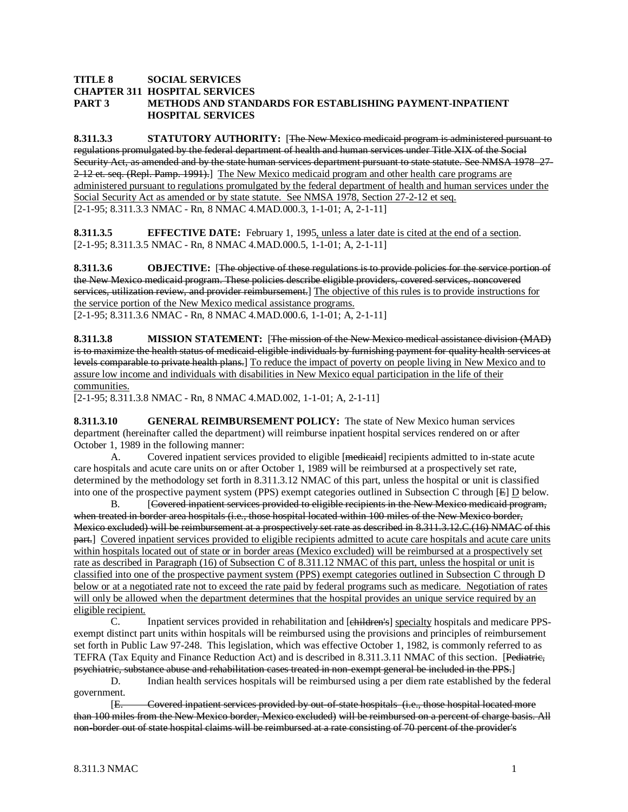#### **TITLE 8 SOCIAL SERVICES CHAPTER 311 HOSPITAL SERVICES PART 3 METHODS AND STANDARDS FOR ESTABLISHING PAYMENT-INPATIENT HOSPITAL SERVICES**

**8.311.3.3 STATUTORY AUTHORITY:** [The New Mexico medicaid program is administered pursuant to regulations promulgated by the federal department of health and human services under Title XIX of the Social Security Act, as amended and by the state human services department pursuant to state statute. See NMSA 1978 27-2-12 et. seq. (Repl. Pamp. 1991).] The New Mexico medicaid program and other health care programs are [2-1-95; 8.311.3.3 NMAC - Rn, 8 NMAC 4.MAD.000.3, 1-1-01; A, 2-1-11] administered pursuant to regulations promulgated by the federal department of health and human services under the Social Security Act as amended or by state statute. See NMSA 1978, Section 27-2-12 et seq.

**8.311.3.5 EFFECTIVE DATE:** February 1, 1995, unless a later date is cited at the end of a section. [2-1-95; 8.311.3.5 NMAC - Rn, 8 NMAC 4.MAD.000.5, 1-1-01; A, 2-1-11]

**8.311.3.6 OBJECTIVE:** [The objective of these regulations is to provide policies for the service portion of the New Mexico medicaid program. These policies describe eligible providers, covered services, noncovered services, utilization review, and provider reimbursement.] The objective of this rules is to provide instructions for [2-1-95; 8.311.3.6 NMAC - Rn, 8 NMAC 4.MAD.000.6, 1-1-01; A, 2-1-11] the service portion of the New Mexico medical assistance programs.

**8.311.3.8 MISSION STATEMENT:** [The mission of the New Mexico medical assistance division (MAD) is to maximize the health status of medicaid-eligible individuals by furnishing payment for quality health services at levels comparable to private health plans.] To reduce the impact of poverty on people living in New Mexico and to assure low income and individuals with disabilities in New Mexico equal participation in the life of their communities.

[2-1-95; 8.311.3.8 NMAC - Rn, 8 NMAC 4.MAD.002, 1-1-01; A, 2-1-11]

**8.311.3.10 GENERAL REIMBURSEMENT POLICY:** The state of New Mexico human services department (hereinafter called the department) will reimburse inpatient hospital services rendered on or after October 1, 1989 in the following manner:

A. Covered inpatient services provided to eligible [medienid] recipients admitted to in-state acute care hospitals and acute care units on or after October 1, 1989 will be reimbursed at a prospectively set rate, determined by the methodology set forth in 8.311.3.12 NMAC of this part, unless the hospital or unit is classified into one of the prospective payment system (PPS) exempt categories outlined in Subsection C through  $[E]$   $\underline{D}$  below.

 $B<sub>r</sub>$ Covered inpatient services provided to eligible recipients in the New Mexico medicaid program, when treated in border area hospitals (i.e., those hospital located within 100 miles of the New Mexico border, Mexico excluded) will be reimbursement at a prospectively set rate as described in 8.311.3.12.C.(16) NMAC of this part.] Covered inpatient services provided to eligible recipients admitted to acute care hospitals and acute care units within hospitals located out of state or in border areas (Mexico excluded) will be reimbursed at a prospectively set rate as described in Paragraph (16) of Subsection C of 8.311.12 NMAC of this part, unless the hospital or unit is classified into one of the prospective payment system (PPS) exempt categories outlined in Subsection C through D below or at a negotiated rate not to exceed the rate paid by federal programs such as medicare. Negotiation of rates will only be allowed when the department determines that the hospital provides an unique service required by an eligible recipient.

C. Inpatient services provided in rehabilitation and [children's] specialty hospitals and medicare PPSexempt distinct part units within hospitals will be reimbursed using the provisions and principles of reimbursement set forth in Public Law 97-248. This legislation, which was effective October 1, 1982, is commonly referred to as TEFRA (Tax Equity and Finance Reduction Act) and is described in 8.311.3.11 NMAC of this section. [Pediatric, psychiatric, substance abuse and rehabilitation cases treated in non-exempt general be included in the PPS. ]

D. Indian health services hospitals will be reimbursed using a per diem rate established by the federal government.

[E. Covered inpatient services provided by out-of-state hospitals (i.e., those hospital located more than 100 miles from the New Mexico border, Mexico excluded) will be reimbursed on a percent of charge basis. All non-border out of state hospital claims will be reimbursed at a rate consisting of 70 percent of the provider's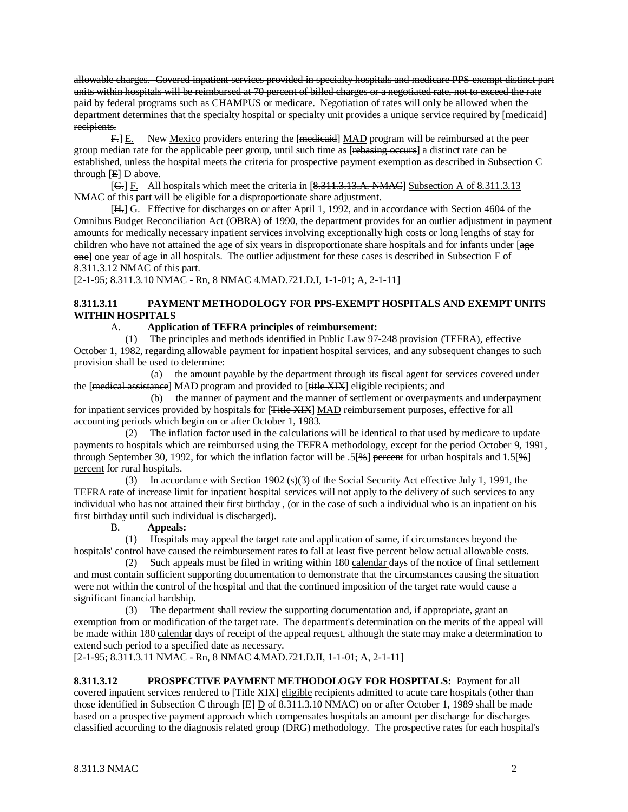allowable charges. Covered inpatient services provided in specialty hospitals and medicare PPS-exempt distinct part units within hospitals will be reimbursed at 70 percent of billed charges or a negotiated rate, not to exceed the rate paid by federal programs such as CHAMPUS or medicare. Negotiation of rates will only be allowed when the department determines that the specialty hospital or specialty unit provides a unique service required by [medicaid] recipients.

 $F = \mathbb{E}$ . New <u>Mexico</u> providers entering the [medicaid] MAD program will be reimbursed at the peer group median rate for the applicable peer group, until such time as [rebasing occurs] a distinct rate can be established, unless the hospital meets the criteria for prospective payment exemption as described in Subsection C through  $[E]$   $\underline{D}$  above.

 $[G<sub>1</sub>]$  E. All hospitals which meet the criteria in  $[8.311.3.13.A. NMAC]$  Subsection A of 8.311.3.13 NMAC of this part will be eligible for a disproportionate share adjustment.

[H<sub>r</sub>]  $\underline{G}$ . Effective for discharges on or after April 1, 1992, and in accordance with Section 4604 of the Omnibus Budget Reconciliation Act (OBRA) of 1990, the department provides for an outlier adjustment in payment amounts for medically necessary inpatient services involving exceptionally high costs or long lengths of stay for children who have not attained the age of six years in disproportionate share hospitals and for infants under [age one] one year of age in all hospitals. The outlier adjustment for these cases is described in Subsection F of 8.311.3.12 NMAC of this part.

[2-1-95; 8.311.3.10 NMAC - Rn, 8 NMAC 4.MAD.721.D.I, 1-1-01; A, 2-1-11]

## **8.311.3.11 PAYMENT METHODOLOGY FOR PPS-EXEMPT HOSPITALS AND EXEMPT UNITS WITHIN HOSPITALS**

### A. **Application of TEFRA principles of reimbursement:**

 (1) The principles and methods identified in Public Law 97-248 provision (TEFRA), effective October 1, 1982, regarding allowable payment for inpatient hospital services, and any subsequent changes to such provision shall be used to determine:

 (a) the amount payable by the department through its fiscal agent for services covered under the [<del>medical assistance</del>] MAD program and provided to [title XIX] eligible recipients; and

 (b) the manner of payment and the manner of settlement or overpayments and underpayment for inpatient services provided by hospitals for [Title XIX] MAD reimbursement purposes, effective for all accounting periods which begin on or after October 1, 1983.

 (2) The inflation factor used in the calculations will be identical to that used by medicare to update payments to hospitals which are reimbursed using the TEFRA methodology, except for the period October 9, 1991, through September 30, 1992, for which the inflation factor will be  $.5[$  percent for urban hospitals and  $1.5[$  % $]$ percent for rural hospitals.

 (3) In accordance with Section 1902 (s)(3) of the Social Security Act effective July 1, 1991, the TEFRA rate of increase limit for inpatient hospital services will not apply to the delivery of such services to any individual who has not attained their first birthday , (or in the case of such a individual who is an inpatient on his first birthday until such individual is discharged).

### B. **Appeals:**

 (1) Hospitals may appeal the target rate and application of same, if circumstances beyond the hospitals' control have caused the reimbursement rates to fall at least five percent below actual allowable costs.

(2) Such appeals must be filed in writing within 180 calendar days of the notice of final settlement and must contain sufficient supporting documentation to demonstrate that the circumstances causing the situation were not within the control of the hospital and that the continued imposition of the target rate would cause a significant financial hardship.

 (3) The department shall review the supporting documentation and, if appropriate, grant an exemption from or modification of the target rate. The department's determination on the merits of the appeal will be made within 180 calendar days of receipt of the appeal request, although the state may make a determination to extend such period to a specified date as necessary.

[2-1-95; 8.311.3.11 NMAC - Rn, 8 NMAC 4.MAD.721.D.II, 1-1-01; A, 2-1-11]

**8.311.3.12 PROSPECTIVE PAYMENT METHODOLOGY FOR HOSPITALS:** Payment for all covered inpatient services rendered to [<del>Title XIX</del>] eligible recipients admitted to acute care hospitals (other than those identified in Subsection C through  $[E]$  D of 8.311.3.10 NMAC) on or after October 1, 1989 shall be made based on a prospective payment approach which compensates hospitals an amount per discharge for discharges classified according to the diagnosis related group (DRG) methodology. The prospective rates for each hospital's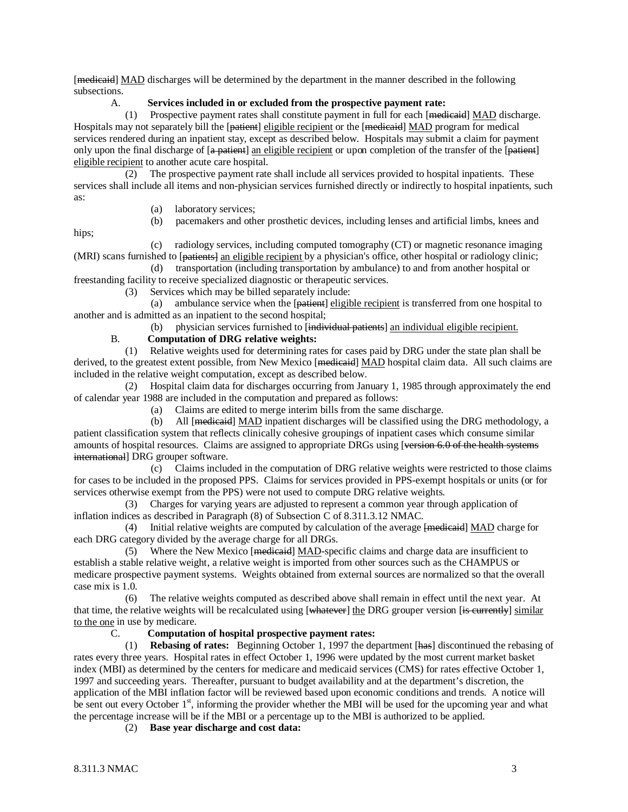[medicaid] MAD discharges will be determined by the department in the manner described in the following subsections.

### A. **Services included in or excluded from the prospective payment rate:**

 (1) Prospective payment rates shall constitute payment in full for each [medicaid] MAD discharge. Hospitals may not separately bill the [<del>patient</del>] eligible recipient or the [<del>medicaid</del>] MAD program for medical services rendered during an inpatient stay, except as described below. Hospitals may submit a claim for payment only upon the final discharge of [a patient] an eligible recipient or upon completion of the transfer of the [patient] eligible recipient to another acute care hospital.

 (2) The prospective payment rate shall include all services provided to hospital inpatients. These services shall include all items and non-physician services furnished directly or indirectly to hospital inpatients, such as:

- (a) laboratory services;
- (b) pacemakers and other prosthetic devices, including lenses and artificial limbs, knees and

hips;

 (c) radiology services, including computed tomography (CT) or magnetic resonance imaging (MRI) scans furnished to [patients] an eligible recipient by a physician's office, other hospital or radiology clinic;

 (d) transportation (including transportation by ambulance) to and from another hospital or freestanding facility to receive specialized diagnostic or therapeutic services.

(3) Services which may be billed separately include:

(a) ambulance service when the [patient] eligible recipient is transferred from one hospital to another and is admitted as an inpatient to the second hospital;

(b) physician services furnished to [individual patients] an individual eligible recipient.

## B. **Computation of DRG relative weights:**

 (1) Relative weights used for determining rates for cases paid by DRG under the state plan shall be derived, to the greatest extent possible, from New Mexico [<del>medicaid</del>] MAD hospital claim data. All such claims are included in the relative weight computation, except as described below.

 (2) Hospital claim data for discharges occurring from January 1, 1985 through approximately the end of calendar year 1988 are included in the computation and prepared as follows:

(a) Claims are edited to merge interim bills from the same discharge.

 (b) All [medicaid] MAD inpatient discharges will be classified using the DRG methodology, a patient classification system that reflects clinically cohesive groupings of inpatient cases which consume similar amounts of hospital resources. Claims are assigned to appropriate DRGs using [version 6.0 of the health systems international] DRG grouper software.

 (c) Claims included in the computation of DRG relative weights were restricted to those claims for cases to be included in the proposed PPS. Claims for services provided in PPS-exempt hospitals or units (or for services otherwise exempt from the PPS) were not used to compute DRG relative weights.

 (3) Charges for varying years are adjusted to represent a common year through application of inflation indices as described in Paragraph (8) of Subsection C of 8.311.3.12 NMAC.

(4) Initial relative weights are computed by calculation of the average  $\overline{[model]}$  MAD charge for each DRG category divided by the average charge for all DRGs.

(5) Where the New Mexico [medieard] MAD-specific claims and charge data are insufficient to establish a stable relative weight, a relative weight is imported from other sources such as the CHAMPUS or medicare prospective payment systems. Weights obtained from external sources are normalized so that the overall case mix is 1.0.

 (6) The relative weights computed as described above shall remain in effect until the next year. At that time, the relative weights will be recalculated using [whatever] the DRG grouper version [is currently] similar to the one in use by medicare.

## C. **Computation of hospital prospective payment rates:**

 (1) **Rebasing of rates:** Beginning October 1, 1997 the department [has] discontinued the rebasing of rates every three years. Hospital rates in effect October 1, 1996 were updated by the most current market basket index (MBI) as determined by the centers for medicare and medicaid services (CMS) for rates effective October 1, 1997 and succeeding years. Thereafter, pursuant to budget availability and at the department's discretion, the application of the MBI inflation factor will be reviewed based upon economic conditions and trends. A notice will be sent out every October  $1<sup>st</sup>$ , informing the provider whether the MBI will be used for the upcoming year and what the percentage increase will be if the MBI or a percentage up to the MBI is authorized to be applied.

(2) **Base year discharge and cost data:**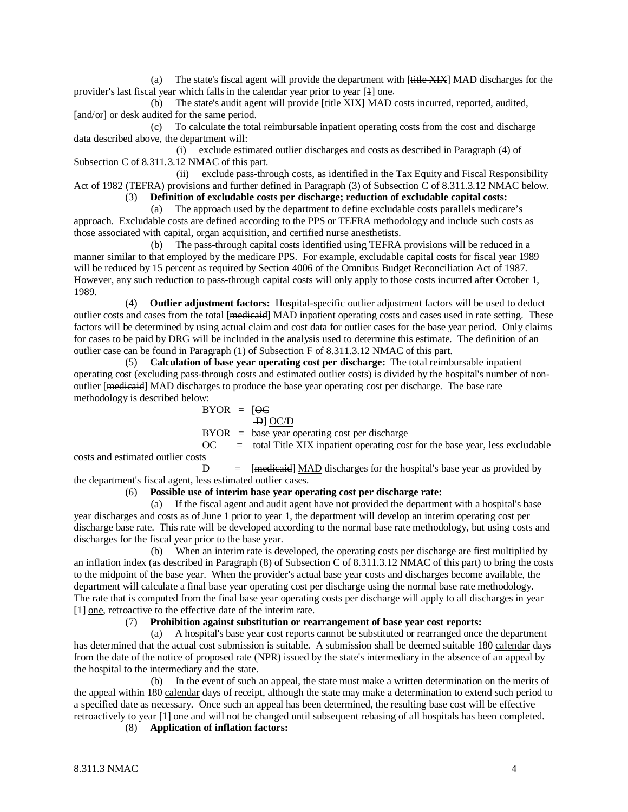(a) The state's fiscal agent will provide the department with [title XIX] MAD discharges for the provider's last fiscal year which falls in the calendar year prior to year [4] one.

(b) The state's audit agent will provide [<del>title XIX</del>] MAD costs incurred, reported, audited, [and/or] or desk audited for the same period.

 (c) To calculate the total reimbursable inpatient operating costs from the cost and discharge data described above, the department will:

 (i) exclude estimated outlier discharges and costs as described in Paragraph (4) of Subsection C of 8.311.3.12 NMAC of this part.

 (ii) exclude pass-through costs, as identified in the Tax Equity and Fiscal Responsibility Act of 1982 (TEFRA) provisions and further defined in Paragraph (3) of Subsection C of 8.311.3.12 NMAC below.

(3) **Definition of excludable costs per discharge; reduction of excludable capital costs:**

 (a) The approach used by the department to define excludable costs parallels medicare's approach. Excludable costs are defined according to the PPS or TEFRA methodology and include such costs as those associated with capital, organ acquisition, and certified nurse anesthetists.

 (b) The pass-through capital costs identified using TEFRA provisions will be reduced in a manner similar to that employed by the medicare PPS. For example, excludable capital costs for fiscal year 1989 will be reduced by 15 percent as required by Section 4006 of the Omnibus Budget Reconciliation Act of 1987. However, any such reduction to pass-through capital costs will only apply to those costs incurred after October 1, 1989.

 (4) **Outlier adjustment factors:** Hospital-specific outlier adjustment factors will be used to deduct outlier costs and cases from the total [<del>medicaid</del>] MAD inpatient operating costs and cases used in rate setting. These factors will be determined by using actual claim and cost data for outlier cases for the base year period. Only claims for cases to be paid by DRG will be included in the analysis used to determine this estimate. The definition of an outlier case can be found in Paragraph (1) of Subsection F of 8.311.3.12 NMAC of this part.

 (5) **Calculation of base year operating cost per discharge:** The total reimbursable inpatient operating cost (excluding pass-through costs and estimated outlier costs) is divided by the hospital's number of nonoutlier [<del>medicaid</del>] MAD discharges to produce the base year operating cost per discharge. The base rate methodology is described below:

$$
BYOR = [QC]
$$
  
 
$$
\frac{P}{QC/D}
$$

BYOR = base year operating cost per discharge

 $OC =$  total Title XIX inpatient operating cost for the base year, less excludable

costs and estimated outlier costs  $D =$  [mediested]  $MAD$  discharges for the hospital's base year as provided by the department's fiscal agent, less estimated outlier cases.

### (6) **Possible use of interim base year operating cost per discharge rate:**

 (a) If the fiscal agent and audit agent have not provided the department with a hospital's base year discharges and costs as of June 1 prior to year 1, the department will develop an interim operating cost per discharge base rate. This rate will be developed according to the normal base rate methodology, but using costs and discharges for the fiscal year prior to the base year.

 (b) When an interim rate is developed, the operating costs per discharge are first multiplied by an inflation index (as described in Paragraph (8) of Subsection C of 8.311.3.12 NMAC of this part) to bring the costs to the midpoint of the base year. When the provider's actual base year costs and discharges become available, the department will calculate a final base year operating cost per discharge using the normal base rate methodology. The rate that is computed from the final base year operating costs per discharge will apply to all discharges in year [4] one, retroactive to the effective date of the interim rate.

### (7) **Prohibition against substitution or rearrangement of base year cost reports:**

 (a) A hospital's base year cost reports cannot be substituted or rearranged once the department has determined that the actual cost submission is suitable. A submission shall be deemed suitable 180 calendar days from the date of the notice of proposed rate (NPR) issued by the state's intermediary in the absence of an appeal by the hospital to the intermediary and the state.

 (b) In the event of such an appeal, the state must make a written determination on the merits of the appeal within 180 calendar days of receipt, although the state may make a determination to extend such period to a specified date as necessary. Once such an appeal has been determined, the resulting base cost will be effective retroactively to year [4] one and will not be changed until subsequent rebasing of all hospitals has been completed.

(8) **Application of inflation factors:**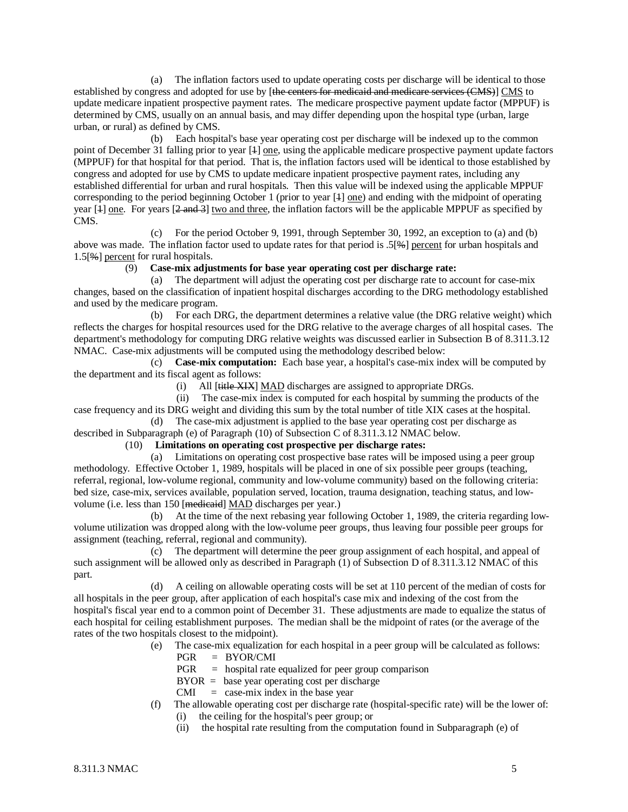(a) The inflation factors used to update operating costs per discharge will be identical to those established by congress and adopted for use by [the centers for medicaid and medicare services (CMS)] CMS to update medicare inpatient prospective payment rates. The medicare prospective payment update factor (MPPUF) is determined by CMS, usually on an annual basis, and may differ depending upon the hospital type (urban, large urban, or rural) as defined by CMS.

 (b) Each hospital's base year operating cost per discharge will be indexed up to the common point of December 31 falling prior to year [4] <u>one</u>, using the applicable medicare prospective payment update factors (MPPUF) for that hospital for that period. That is, the inflation factors used will be identical to those established by congress and adopted for use by CMS to update medicare inpatient prospective payment rates, including any established differential for urban and rural hospitals. Then this value will be indexed using the applicable MPPUF corresponding to the period beginning October 1 (prior to year [1] one) and ending with the midpoint of operating year [4] one. For years [2 and 3] two and three, the inflation factors will be the applicable MPPUF as specified by CMS.

 (c) For the period October 9, 1991, through September 30, 1992, an exception to (a) and (b) above was made. The inflation factor used to update rates for that period is .5[%] percent for urban hospitals and 1.5[%] percent for rural hospitals.

#### (9) **Case-mix adjustments for base year operating cost per discharge rate:**

 (a) The department will adjust the operating cost per discharge rate to account for case-mix changes, based on the classification of inpatient hospital discharges according to the DRG methodology established and used by the medicare program.<br>(b) For each D

For each DRG, the department determines a relative value (the DRG relative weight) which reflects the charges for hospital resources used for the DRG relative to the average charges of all hospital cases. The department's methodology for computing DRG relative weights was discussed earlier in Subsection B of 8.311.3.12 NMAC. Case-mix adjustments will be computed using the methodology described below:

 (c) **Case-mix computation:** Each base year, a hospital's case-mix index will be computed by the department and its fiscal agent as follows:

(i) All [<del>title XIX</del>] MAD discharges are assigned to appropriate DRGs.

 (ii) The case-mix index is computed for each hospital by summing the products of the case frequency and its DRG weight and dividing this sum by the total number of title XIX cases at the hospital.

 (d) The case-mix adjustment is applied to the base year operating cost per discharge as described in Subparagraph (e) of Paragraph (10) of Subsection C of 8.311.3.12 NMAC below.

## (10) **Limitations on operating cost prospective per discharge rates:**

 (a) Limitations on operating cost prospective base rates will be imposed using a peer group methodology. Effective October 1, 1989, hospitals will be placed in one of six possible peer groups (teaching, referral, regional, low-volume regional, community and low-volume community) based on the following criteria: bed size, case-mix, services available, population served, location, trauma designation, teaching status, and lowvolume (i.e. less than 150 [medicaid] MAD discharges per year.)

 (b) At the time of the next rebasing year following October 1, 1989, the criteria regarding lowvolume utilization was dropped along with the low-volume peer groups, thus leaving four possible peer groups for assignment (teaching, referral, regional and community).

 (c) The department will determine the peer group assignment of each hospital, and appeal of such assignment will be allowed only as described in Paragraph (1) of Subsection D of 8.311.3.12 NMAC of this part.

 (d) A ceiling on allowable operating costs will be set at 110 percent of the median of costs for all hospitals in the peer group, after application of each hospital's case mix and indexing of the cost from the hospital's fiscal year end to a common point of December 31. These adjustments are made to equalize the status of each hospital for ceiling establishment purposes. The median shall be the midpoint of rates (or the average of the rates of the two hospitals closest to the midpoint).

- (e) The case-mix equalization for each hospital in a peer group will be calculated as follows:
	- PGR = BYOR/CMI
	- PGR = hospital rate equalized for peer group comparison
	- $BYOR = base year operating cost per discharge$
	- $CMI = \case-mix$  index in the base year
- (f) The allowable operating cost per discharge rate (hospital-specific rate) will be the lower of:
	- (i) the ceiling for the hospital's peer group; or
	- (ii) the hospital rate resulting from the computation found in Subparagraph (e) of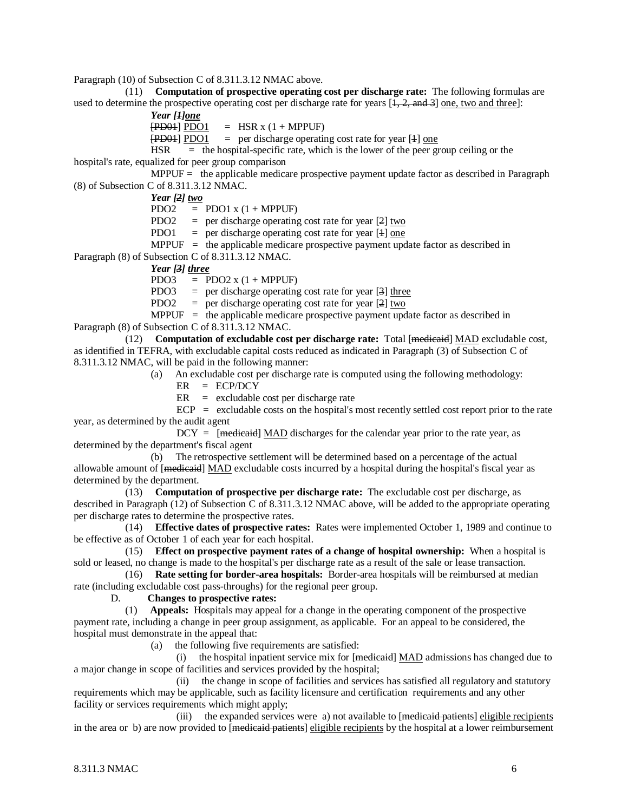Paragraph (10) of Subsection C of 8.311.3.12 NMAC above.

 (11) **Computation of prospective operating cost per discharge rate:** The following formulas are used to determine the prospective operating cost per discharge rate for years  $[1, 2, \text{ and } 3]$  one, two and three]:

 *Year [ 1] one* [PD01] PDO1 = HSR x (1 + MPPUF)

[PD01] PDO1 = per discharge operating cost rate for year [4] one

 $HSR =$  the hospital-specific rate, which is the lower of the peer group ceiling or the hospital's rate, equalized for peer group comparison

MPPUF  $=$  the applicable medicare prospective payment update factor as described in Paragraph (8) of Subsection C of 8.311.3.12 NMAC.

*Year [2] two*

 $PDO2 = PDO1 x (1 + MPPUF)$ 

PDO2 = per discharge operating cost rate for year  $[2]$  two

PDO1 = per discharge operating cost rate for year [4] one

MPPUF  $=$  the applicable medicare prospective payment update factor as described in Paragraph (8) of Subsection C of 8.311.3.12 NMAC.

*Year [3] three*

PDO3 = PDO2  $x(1 + MPPUF)$ 

PDO3 = per discharge operating cost rate for year  $[3]$  three

PDO2 = per discharge operating cost rate for year  $[2]$  two

MPPUF  $=$  the applicable medicare prospective payment update factor as described in Paragraph (8) of Subsection C of 8.311.3.12 NMAC.

(12) **Computation of excludable cost per discharge rate:** Total [medicaid] MAD excludable cost, as identified in TEFRA, with excludable capital costs reduced as indicated in Paragraph (3) of Subsection C of 8.311.3.12 NMAC, will be paid in the following manner:

(a) An excludable cost per discharge rate is computed using the following methodology:

 $ER = ECP/DCY$ 

 $ER = \text{excluded}$  excludable cost per discharge rate

 $ECP$  = excludable costs on the hospital's most recently settled cost report prior to the rate year, as determined by the audit agent

 $DCY =$  [medicate] MAD discharges for the calendar year prior to the rate year, as determined by the department's fiscal agent

 (b) The retrospective settlement will be determined based on a percentage of the actual allowable amount of [<del>medicaid</del>] MAD excludable costs incurred by a hospital during the hospital's fiscal year as determined by the department.

 (13) **Computation of prospective per discharge rate:** The excludable cost per discharge, as described in Paragraph (12) of Subsection C of 8.311.3.12 NMAC above, will be added to the appropriate operating per discharge rates to determine the prospective rates.

 (14) **Effective dates of prospective rates:** Rates were implemented October 1, 1989 and continue to be effective as of October 1 of each year for each hospital.

 (15) **Effect on prospective payment rates of a change of hospital ownership:** When a hospital is sold or leased, no change is made to the hospital's per discharge rate as a result of the sale or lease transaction.

 (16) **Rate setting for border-area hospitals:** Border-area hospitals will be reimbursed at median rate (including excludable cost pass-throughs) for the regional peer group.

#### D. **Changes to prospective rates:**

 (1) **Appeals:** Hospitals may appeal for a change in the operating component of the prospective payment rate, including a change in peer group assignment, as applicable. For an appeal to be considered, the hospital must demonstrate in the appeal that:

(a) the following five requirements are satisfied:

(i) the hospital inpatient service mix for  $[m$ edicaid  $MAD$  admissions has changed due to a major change in scope of facilities and services provided by the hospital;

 (ii) the change in scope of facilities and services has satisfied all regulatory and statutory requirements which may be applicable, such as facility licensure and certification requirements and any other facility or services requirements which might apply;

(iii) the expanded services were a) not available to [medicaid patients] eligible recipients in the area or b) are now provided to [medicaid patients] eligible recipients by the hospital at a lower reimbursement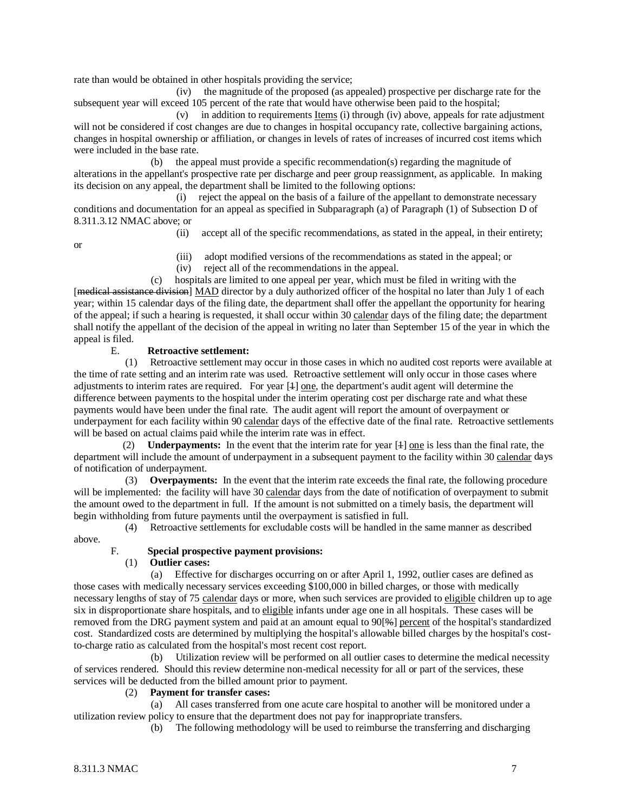rate than would be obtained in other hospitals providing the service;

 (iv) the magnitude of the proposed (as appealed) prospective per discharge rate for the subsequent year will exceed 105 percent of the rate that would have otherwise been paid to the hospital;

(v) in addition to requirements <u>Items</u> (i) through (iv) above, appeals for rate adjustment will not be considered if cost changes are due to changes in hospital occupancy rate, collective bargaining actions, changes in hospital ownership or affiliation, or changes in levels of rates of increases of incurred cost items which were included in the base rate.

 (b) the appeal must provide a specific recommendation(s) regarding the magnitude of alterations in the appellant's prospective rate per discharge and peer group reassignment, as applicable. In making its decision on any appeal, the department shall be limited to the following options:

 (i) reject the appeal on the basis of a failure of the appellant to demonstrate necessary conditions and documentation for an appeal as specified in Subparagraph (a) of Paragraph (1) of Subsection D of 8.311.3.12 NMAC above; or

(ii) accept all of the specific recommendations, as stated in the appeal, in their entirety;

or

- (iii) adopt modified versions of the recommendations as stated in the appeal; or
- (iv) reject all of the recommendations in the appeal.

 (c) hospitals are limited to one appeal per year, which must be filed in writing with the [medical assistance division] MAD director by a duly authorized officer of the hospital no later than July 1 of each year; within 15 calendar days of the filing date, the department shall offer the appellant the opportunity for hearing of the appeal; if such a hearing is requested, it shall occur within 30 calendar days of the filing date; the department shall notify the appellant of the decision of the appeal in writing no later than September 15 of the year in which the appeal is filed.

#### E. **Retroactive settlement:**

 (1) Retroactive settlement may occur in those cases in which no audited cost reports were available at the time of rate setting and an interim rate was used. Retroactive settlement will only occur in those cases where adjustments to interim rates are required. For year [1] one, the department's audit agent will determine the difference between payments to the hospital under the interim operating cost per discharge rate and what these payments would have been under the final rate. The audit agent will report the amount of overpayment or underpayment for each facility within 90 calendar days of the effective date of the final rate. Retroactive settlements will be based on actual claims paid while the interim rate was in effect.

(2) **Underpayments:** In the event that the interim rate for year  $[4]$  one is less than the final rate, the department will include the amount of underpayment in a subsequent payment to the facility within 30 calendar days of notification of underpayment.

 (3) **Overpayments:** In the event that the interim rate exceeds the final rate, the following procedure will be implemented: the facility will have 30 calendar days from the date of notification of overpayment to submit the amount owed to the department in full. If the amount is not submitted on a timely basis, the department will begin withholding from future payments until the overpayment is satisfied in full.

(4) Retroactive settlements for excludable costs will be handled in the same manner as described

above.

## F. **Special prospective payment provisions:**

### (1) **Outlier cases:**

 (a) Effective for discharges occurring on or after April 1, 1992, outlier cases are defined as those cases with medically necessary services exceeding \$100,000 in billed charges, or those with medically necessary lengths of stay of 75 calendar days or more, when such services are provided to eligible children up to age six in disproportionate share hospitals, and to eligible infants under age one in all hospitals. These cases will be removed from the DRG payment system and paid at an amount equal to 90[%] percent of the hospital's standardized cost. Standardized costs are determined by multiplying the hospital's allowable billed charges by the hospital's costto-charge ratio as calculated from the hospital's most recent cost report.

 (b) Utilization review will be performed on all outlier cases to determine the medical necessity of services rendered. Should this review determine non-medical necessity for all or part of the services, these services will be deducted from the billed amount prior to payment.

## (2) **Payment for transfer cases:**

 (a) All cases transferred from one acute care hospital to another will be monitored under a utilization review policy to ensure that the department does not pay for inappropriate transfers.

(b) The following methodology will be used to reimburse the transferring and discharging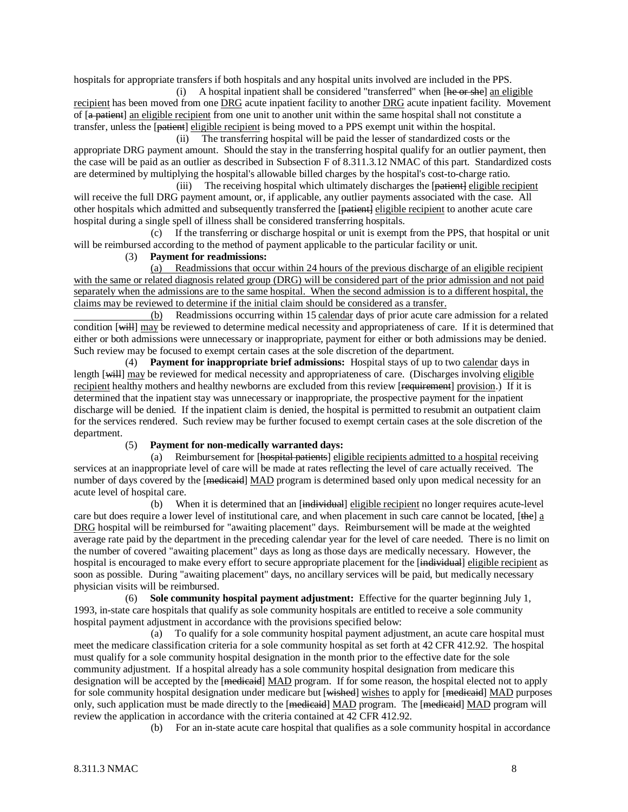hospitals for appropriate transfers if both hospitals and any hospital units involved are included in the PPS.

(i) A hospital inpatient shall be considered "transferred" when  $[**he** or **she**]$  an eligible recipient has been moved from one DRG acute inpatient facility to another DRG acute inpatient facility. Movement of [a patient] an eligible recipient from one unit to another unit within the same hospital shall not constitute a transfer, unless the [patient] eligible recipient is being moved to a PPS exempt unit within the hospital.

 (ii) The transferring hospital will be paid the lesser of standardized costs or the appropriate DRG payment amount. Should the stay in the transferring hospital qualify for an outlier payment, then the case will be paid as an outlier as described in Subsection F of 8.311.3.12 NMAC of this part. Standardized costs are determined by multiplying the hospital's allowable billed charges by the hospital's cost-to-charge ratio.

(iii) The receiving hospital which ultimately discharges the [patient] eligible recipient will receive the full DRG payment amount, or, if applicable, any outlier payments associated with the case. All other hospitals which admitted and subsequently transferred the [patient] eligible recipient to another acute care hospital during a single spell of illness shall be considered transferring hospitals.

 (c) If the transferring or discharge hospital or unit is exempt from the PPS, that hospital or unit will be reimbursed according to the method of payment applicable to the particular facility or unit.

(3) **Payment for readmissions:**

 (a) Readmissions that occur within 24 hours of the previous discharge of an eligible recipient with the same or related diagnosis related group (DRG) will be considered part of the prior admission and not paid separately when the admissions are to the same hospital. When the second admission is to a different hospital, the claims may be reviewed to determine if the initial claim should be considered as a transfer.

 (b) Readmissions occurring within 15 calendar days of prior acute care admission for a related condition [will] may be reviewed to determine medical necessity and appropriateness of care. If it is determined that either or both admissions were unnecessary or inappropriate, payment for either or both admissions may be denied. Such review may be focused to exempt certain cases at the sole discretion of the department.

 (4) **Payment for inappropriate brief admissions:** Hospital stays of up to two calendar days in length [will] may be reviewed for medical necessity and appropriateness of care. (Discharges involving eligible recipient healthy mothers and healthy newborns are excluded from this review [requirement] provision.) If it is determined that the inpatient stay was unnecessary or inappropriate, the prospective payment for the inpatient discharge will be denied. If the inpatient claim is denied, the hospital is permitted to resubmit an outpatient claim for the services rendered. Such review may be further focused to exempt certain cases at the sole discretion of the department.

### (5) **Payment for non-medically warranted days:**

 (a) Reimbursement for [hospital patients] eligible recipients admitted to a hospital receiving services at an inappropriate level of care will be made at rates reflecting the level of care actually received. The number of days covered by the [medicaid] MAD program is determined based only upon medical necessity for an acute level of hospital care.

(b) When it is determined that an [individual] eligible recipient no longer requires acute-level care but does require a lower level of institutional care, and when placement in such care cannot be located, [the] a DRG hospital will be reimbursed for "awaiting placement" days. Reimbursement will be made at the weighted average rate paid by the department in the preceding calendar year for the level of care needed. There is no limit on the number of covered "awaiting placement" days as long as those days are medically necessary. However, the hospital is encouraged to make every effort to secure appropriate placement for the [individual] eligible recipient as soon as possible. During "awaiting placement" days, no ancillary services will be paid, but medically necessary physician visits will be reimbursed.

 (6) **Sole community hospital payment adjustment:** Effective for the quarter beginning July 1, 1993, in-state care hospitals that qualify as sole community hospitals are entitled to receive a sole community hospital payment adjustment in accordance with the provisions specified below:

 (a) To qualify for a sole community hospital payment adjustment, an acute care hospital must meet the medicare classification criteria for a sole community hospital as set forth at 42 CFR 412.92. The hospital must qualify for a sole community hospital designation in the month prior to the effective date for the sole community adjustment. If a hospital already has a sole community hospital designation from medicare this designation will be accepted by the [medicaid] MAD program. If for some reason, the hospital elected not to apply for sole community hospital designation under medicare but [wished] wishes to apply for [medicaid] MAD purposes only, such application must be made directly to the [medicaid] MAD program. The [medicaid] MAD program will review the application in accordance with the criteria contained at 42 CFR 412.92.

(b) For an in-state acute care hospital that qualifies as a sole community hospital in accordance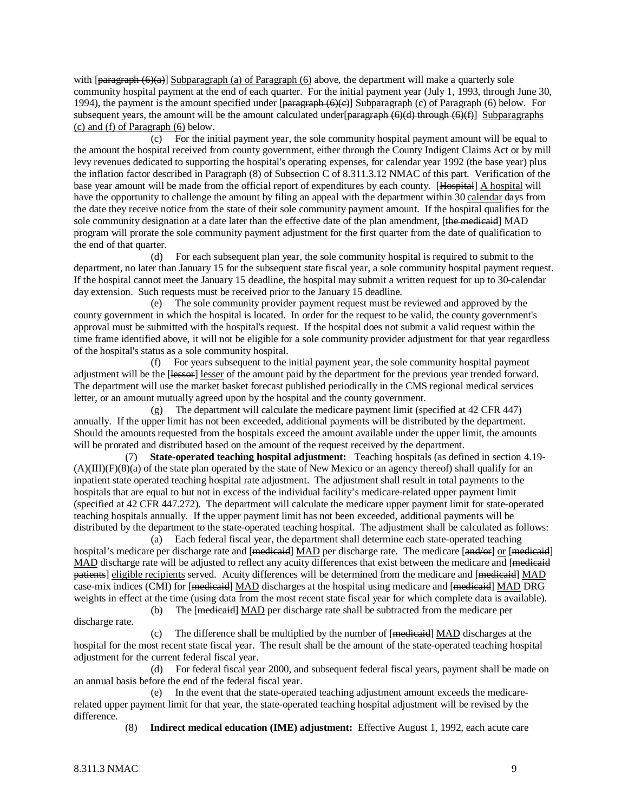with  $\left[\frac{\text{parameter of } (n-1)}{\text{number of } n}\right]$  Subparagraph (a) of Paragraph (6) above, the department will make a quarterly sole community hospital payment at the end of each quarter. For the initial payment year (July 1, 1993, through June 30, 1994), the payment is the amount specified under  $\left[\frac{\text{param}}{\text{param}}(6)(e)\right]$  Subparagraph (c) of Paragraph (6) below. For subsequent years, the amount will be the amount calculated under  $\beta$  =  $\frac{\beta}{\beta}$  (6)(d) through (6)(f)] Subparagraphs (c) and (f) of Paragraph (6) below.

 (c) For the initial payment year, the sole community hospital payment amount will be equal to the amount the hospital received from county government, either through the County Indigent Claims Act or by mill levy revenues dedicated to supporting the hospital's operating expenses, for calendar year 1992 (the base year) plus the inflation factor described in Paragraph (8) of Subsection C of 8.311.3.12 NMAC of this part. Verification of the base year amount will be made from the official report of expenditures by each county. [Hospital] A hospital will have the opportunity to challenge the amount by filing an appeal with the department within 30 calendar days from the date they receive notice from the state of their sole community payment amount. If the hospital qualifies for the sole community designation at a date later than the effective date of the plan amendment, [the medicaid] MAD program will prorate the sole community payment adjustment for the first quarter from the date of qualification to the end of that quarter.

 (d) For each subsequent plan year, the sole community hospital is required to submit to the department, no later than January 15 for the subsequent state fiscal year, a sole community hospital payment request. If the hospital cannot meet the January 15 deadline, the hospital may submit a written request for up to 30-calendar day extension. Such requests must be received prior to the January 15 deadline.

 (e) The sole community provider payment request must be reviewed and approved by the county government in which the hospital is located. In order for the request to be valid, the county government's approval must be submitted with the hospital's request. If the hospital does not submit a valid request within the time frame identified above, it will not be eligible for a sole community provider adjustment for that year regardless of the hospital's status as a sole community hospital.

 (f) For years subsequent to the initial payment year, the sole community hospital payment adjustment will be the [lessor] lesser of the amount paid by the department for the previous year trended forward. The department will use the market basket forecast published periodically in the CMS regional medical services letter, or an amount mutually agreed upon by the hospital and the county government.

 (g) The department will calculate the medicare payment limit (specified at 42 CFR 447) annually. If the upper limit has not been exceeded, additional payments will be distributed by the department. Should the amounts requested from the hospitals exceed the amount available under the upper limit, the amounts will be prorated and distributed based on the amount of the request received by the department.

 (7) **State-operated teaching hospital adjustment:** Teaching hospitals (as defined in section 4.19- (A)(III)(F)(8)(a) of the state plan operated by the state of New Mexico or an agency thereof) shall qualify for an inpatient state operated teaching hospital rate adjustment. The adjustment shall result in total payments to the hospitals that are equal to but not in excess of the individual facility's medicare-related upper payment limit (specified at 42 CFR 447.272). The department will calculate the medicare upper payment limit for state-operated teaching hospitals annually. If the upper payment limit has not been exceeded, additional payments will be distributed by the department to the state-operated teaching hospital. The adjustment shall be calculated as follows:

 (a) Each federal fiscal year, the department shall determine each state-operated teaching hospital's medicare per discharge rate and [medicaid] MAD per discharge rate. The medicare [and/or] or [medicaid] MAD discharge rate will be adjusted to reflect any acuity differences that exist between the medicare and [medicaid] patients] eligible recipients served. Acuity differences will be determined from the medicare and [medicaid] MAD case-mix indices (CMI) for [<del>medicaid</del>] MAD discharges at the hospital using medicare and [<del>medicaid</del>] MAD DRG weights in effect at the time (using data from the most recent state fiscal year for which complete data is available).

discharge rate.

(b) The [<del>medicaid</del>] MAD per discharge rate shall be subtracted from the medicare per

(c) The difference shall be multiplied by the number of  $[$ **medicaid** $]$  MAD discharges at the hospital for the most recent state fiscal year. The result shall be the amount of the state-operated teaching hospital adjustment for the current federal fiscal year.

 (d) For federal fiscal year 2000, and subsequent federal fiscal years, payment shall be made on an annual basis before the end of the federal fiscal year.

 (e) In the event that the state-operated teaching adjustment amount exceeds the medicarerelated upper payment limit for that year, the state-operated teaching hospital adjustment will be revised by the difference.

(8) **Indirect medical education (IME) adjustment:** Effective August 1, 1992, each acute care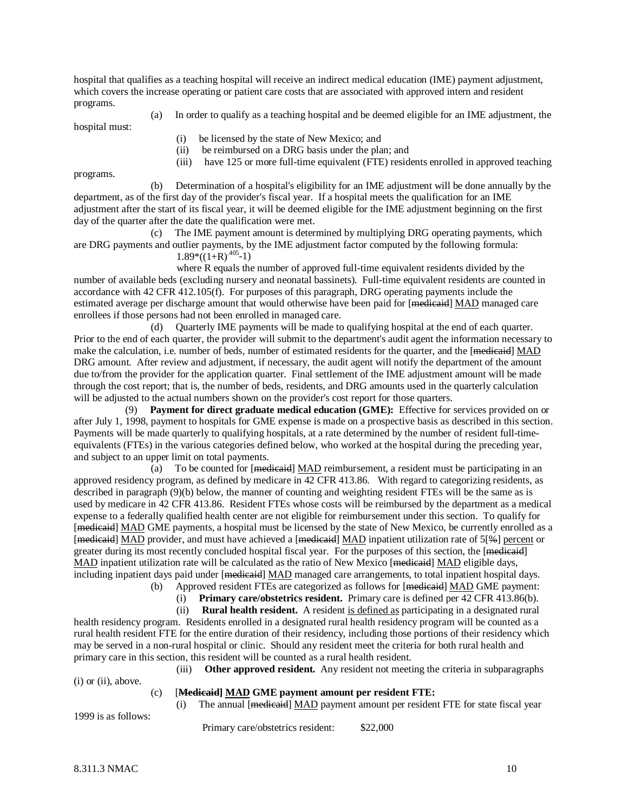hospital that qualifies as a teaching hospital will receive an indirect medical education (IME) payment adjustment, which covers the increase operating or patient care costs that are associated with approved intern and resident programs.

(a) In order to qualify as a teaching hospital and be deemed eligible for an IME adjustment, the

hospital must:

(i) be licensed by the state of New Mexico; and

- (ii) be reimbursed on a DRG basis under the plan; and
- (iii) have 125 or more full-time equivalent (FTE) residents enrolled in approved teaching

programs.

 (b) Determination of a hospital's eligibility for an IME adjustment will be done annually by the department, as of the first day of the provider's fiscal year. If a hospital meets the qualification for an IME adjustment after the start of its fiscal year, it will be deemed eligible for the IME adjustment beginning on the first day of the quarter after the date the qualification were met.

 (c) The IME payment amount is determined by multiplying DRG operating payments, which are DRG payments and outlier payments, by the IME adjustment factor computed by the following formula:

 $1.89*((1+R)^{.405}-1)$ 

 where R equals the number of approved full-time equivalent residents divided by the number of available beds (excluding nursery and neonatal bassinets). Full-time equivalent residents are counted in accordance with 42 CFR 412.105(f). For purposes of this paragraph, DRG operating payments include the estimated average per discharge amount that would otherwise have been paid for [medicaid] MAD managed care enrollees if those persons had not been enrolled in managed care.

 (d) Quarterly IME payments will be made to qualifying hospital at the end of each quarter. Prior to the end of each quarter, the provider will submit to the department's audit agent the information necessary to make the calculation, i.e. number of beds, number of estimated residents for the quarter, and the [medicaid] MAD DRG amount. After review and adjustment, if necessary, the audit agent will notify the department of the amount due to/from the provider for the application quarter. Final settlement of the IME adjustment amount will be made through the cost report; that is, the number of beds, residents, and DRG amounts used in the quarterly calculation will be adjusted to the actual numbers shown on the provider's cost report for those quarters.

 (9) **Payment for direct graduate medical education (GME):** Effective for services provided on or after July 1, 1998, payment to hospitals for GME expense is made on a prospective basis as described in this section. Payments will be made quarterly to qualifying hospitals, at a rate determined by the number of resident full-timeequivalents (FTEs) in the various categories defined below, who worked at the hospital during the preceding year, and subject to an upper limit on total payments.

(a) To be counted for  $[$ <del>medicaid</del> $]$  MAD reimbursement, a resident must be participating in an approved residency program, as defined by medicare in 42 CFR 413.86. With regard to categorizing residents, as described in paragraph (9)(b) below, the manner of counting and weighting resident FTEs will be the same as is used by medicare in 42 CFR 413.86. Resident FTEs whose costs will be reimbursed by the department as a medical expense to a federally qualified health center are not eligible for reimbursement under this section. To qualify for [medicaid] MAD GME payments, a hospital must be licensed by the state of New Mexico, be currently enrolled as a [medicaid] MAD provider, and must have achieved a [medicaid] MAD inpatient utilization rate of 5[%] percent or greater during its most recently concluded hospital fiscal year. For the purposes of this section, the [medicaid] MAD inpatient utilization rate will be calculated as the ratio of New Mexico [mediented] MAD eligible days, including inpatient days paid under [<del>medicaid</del>] MAD managed care arrangements, to total inpatient hospital days.

(b) Approved resident FTEs are categorized as follows for [<del>medicaid</del>] MAD GME payment:

(i) **Primary care/obstetrics resident.** Primary care is defined per 42 CFR 413.86(b).

(ii) **Rural health resident.** A resident is defined as participating in a designated rural

health residency program. Residents enrolled in a designated rural health residency program will be counted as a rural health resident FTE for the entire duration of their residency, including those portions of their residency which may be served in a non-rural hospital or clinic. Should any resident meet the criteria for both rural health and primary care in this section, this resident will be counted as a rural health resident.

(i) or (ii), above.

1999 is as follows:

(iii) **Other approved resident.** Any resident not meeting the criteria in subparagraphs

### (c) [**Medicaid] MAD GME payment amount per resident FTE:**

(i) The annual [medicaid] MAD payment amount per resident FTE for state fiscal year

Primary care/obstetrics resident: \$22,000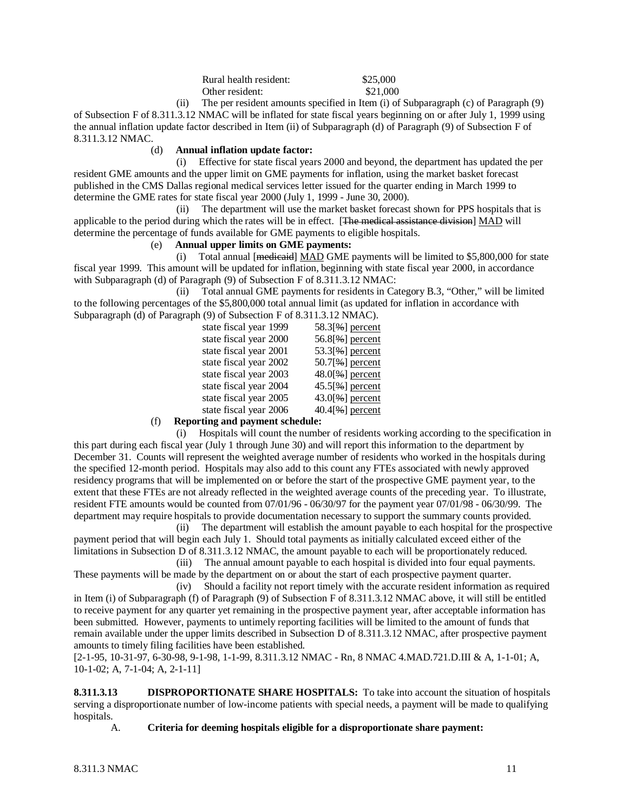| Rural health resident: | \$25,000 |
|------------------------|----------|
| Other resident:        | \$21,000 |

 (ii) The per resident amounts specified in Item (i) of Subparagraph (c) of Paragraph (9) of Subsection F of 8.311.3.12 NMAC will be inflated for state fiscal years beginning on or after July 1, 1999 using the annual inflation update factor described in Item (ii) of Subparagraph (d) of Paragraph (9) of Subsection F of 8.311.3.12 NMAC.

#### (d) **Annual inflation update factor:**

 (i) Effective for state fiscal years 2000 and beyond, the department has updated the per resident GME amounts and the upper limit on GME payments for inflation, using the market basket forecast published in the CMS Dallas regional medical services letter issued for the quarter ending in March 1999 to determine the GME rates for state fiscal year 2000 (July 1, 1999 - June 30, 2000).

 (ii) The department will use the market basket forecast shown for PPS hospitals that is applicable to the period during which the rates will be in effect. [The medical assistance division] MAD will determine the percentage of funds available for GME payments to eligible hospitals.

## (e) **Annual upper limits on GME payments:**

(i) Total annual  $[\text{medieaid}] \text{ MAD GME payments will be limited to } $5,800,000 \text{ for state}]$ fiscal year 1999. This amount will be updated for inflation, beginning with state fiscal year 2000, in accordance with Subparagraph (d) of Paragraph (9) of Subsection F of 8.311.3.12 NMAC:

 (ii) Total annual GME payments for residents in Category B.3, "Other," will be limited to the following percentages of the \$5,800,000 total annual limit (as updated for inflation in accordance with Subparagraph (d) of Paragraph (9) of Subsection F of 8.311.3.12 NMAC).

| $\mathcal{L}$ of $\mathcal{L}$ and $\mathcal{L}$ and $\mathcal{L}$ and $\mathcal{L}$ are $\mathcal{L}$ and $\mathcal{L}$ and $\mathcal{L}$ and $\mathcal{L}$ and $\mathcal{L}$ and $\mathcal{L}$ and $\mathcal{L}$ and $\mathcal{L}$ and $\mathcal{L}$ and $\mathcal{L}$ and $\mathcal{L}$ and $\mathcal{L}$ and |                        |                      |
|------------------------------------------------------------------------------------------------------------------------------------------------------------------------------------------------------------------------------------------------------------------------------------------------------------------|------------------------|----------------------|
|                                                                                                                                                                                                                                                                                                                  | state fiscal year 1999 | $58.3[%]$ percent    |
|                                                                                                                                                                                                                                                                                                                  | state fiscal year 2000 | $56.8[%]$ percent    |
|                                                                                                                                                                                                                                                                                                                  | state fiscal year 2001 | $53.3$ [%] percent   |
|                                                                                                                                                                                                                                                                                                                  | state fiscal year 2002 | $50.7$ [\%e] percent |
|                                                                                                                                                                                                                                                                                                                  | state fiscal year 2003 | $48.0$ [%] percent   |
|                                                                                                                                                                                                                                                                                                                  | state fiscal year 2004 | $45.5$ [%] percent   |
|                                                                                                                                                                                                                                                                                                                  | state fiscal year 2005 | $43.0$ [%] percent   |
|                                                                                                                                                                                                                                                                                                                  | state fiscal year 2006 | $40.4$ [%] percent   |
|                                                                                                                                                                                                                                                                                                                  |                        |                      |

### (f) **Reporting and payment schedule:**

 (i) Hospitals will count the number of residents working according to the specification in this part during each fiscal year (July 1 through June 30) and will report this information to the department by December 31. Counts will represent the weighted average number of residents who worked in the hospitals during the specified 12-month period. Hospitals may also add to this count any FTEs associated with newly approved residency programs that will be implemented on or before the start of the prospective GME payment year, to the extent that these FTEs are not already reflected in the weighted average counts of the preceding year. To illustrate, resident FTE amounts would be counted from 07/01/96 - 06/30/97 for the payment year 07/01/98 - 06/30/99. The department may require hospitals to provide documentation necessary to support the summary counts provided.

 (ii) The department will establish the amount payable to each hospital for the prospective payment period that will begin each July 1. Should total payments as initially calculated exceed either of the limitations in Subsection D of 8.311.3.12 NMAC, the amount payable to each will be proportionately reduced.

 (iii) The annual amount payable to each hospital is divided into four equal payments. These payments will be made by the department on or about the start of each prospective payment quarter. (iv) Should a facility not report timely with the accurate resident information as required

in Item (i) of Subparagraph (f) of Paragraph (9) of Subsection F of 8.311.3.12 NMAC above, it will still be entitled to receive payment for any quarter yet remaining in the prospective payment year, after acceptable information has been submitted. However, payments to untimely reporting facilities will be limited to the amount of funds that remain available under the upper limits described in Subsection D of 8.311.3.12 NMAC, after prospective payment amounts to timely filing facilities have been established.

[2-1-95, 10-31-97, 6-30-98, 9-1-98, 1-1-99, 8.311.3.12 NMAC - Rn, 8 NMAC 4.MAD.721.D.III & A, 1-1-01; A, 10-1-02; A, 7-1-04; A, 2-1-11]

**8.311.3.13 DISPROPORTIONATE SHARE HOSPITALS:** To take into account the situation of hospitals serving a disproportionate number of low-income patients with special needs, a payment will be made to qualifying hospitals.

A. **Criteria for deeming hospitals eligible for a disproportionate share payment:**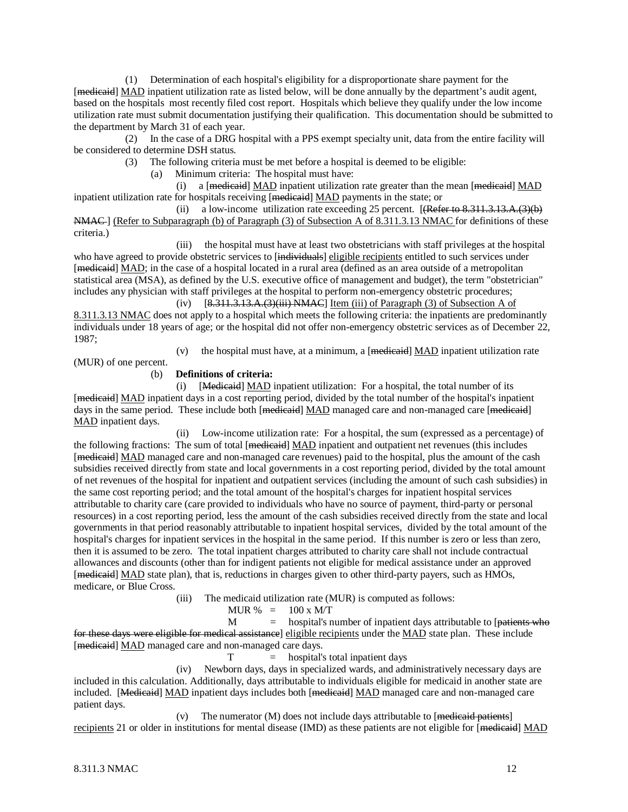(1) Determination of each hospital's eligibility for a disproportionate share payment for the [medicaid] MAD inpatient utilization rate as listed below, will be done annually by the department's audit agent, based on the hospitals most recently filed cost report. Hospitals which believe they qualify under the low income utilization rate must submit documentation justifying their qualification. This documentation should be submitted to the department by March 31 of each year.

 (2) In the case of a DRG hospital with a PPS exempt specialty unit, data from the entire facility will be considered to determine DSH status.

(3) The following criteria must be met before a hospital is deemed to be eligible:

(a) Minimum criteria: The hospital must have:

 (i) a [medicaid] MAD inpatient utilization rate greater than the mean [medicaid] MAD inpatient utilization rate for hospitals receiving [medicaid] MAD payments in the state; or

(ii) a low-income utilization rate exceeding 25 percent. [ $(Refer\ to\ 8.311.3.13.A.(3)(b)$ ] NMAC-] (Refer to Subparagraph (b) of Paragraph (3) of Subsection A of 8.311.3.13 NMAC for definitions of these criteria.)

 (iii) the hospital must have at least two obstetricians with staff privileges at the hospital who have agreed to provide obstetric services to [individuals] eligible recipients entitled to such services under [medicaid] MAD; in the case of a hospital located in a rural area (defined as an area outside of a metropolitan statistical area (MSA), as defined by the U.S. executive office of management and budget), the term "obstetrician" includes any physician with staff privileges at the hospital to perform non-emergency obstetric procedures;

(iv)  $[8,311,3.13,A,(3)(iii) NMAC]$  Item (iii) of Paragraph (3) of Subsection A of 8.311.3.13 NMAC does not apply to a hospital which meets the following criteria: the inpatients are predominantly individuals under 18 years of age; or the hospital did not offer non-emergency obstetric services as of December 22, 1987;

(v) the hospital must have, at a minimum, a  $[$ <del>medicaid</del> $]$   $\underline{MAD}$  inpatient utilization rate

(MUR) of one percent.

## (b) **Definitions of criteria:**

 (i) [Medicaid] MAD inpatient utilization: For a hospital, the total number of its [medicaid] MAD inpatient days in a cost reporting period, divided by the total number of the hospital's inpatient days in the same period. These include both [<del>medicaid</del>] MAD managed care and non-managed care [medicaid] MAD inpatient days.

 (ii) Low-income utilization rate: For a hospital, the sum (expressed as a percentage) of the following fractions: The sum of total [medicaid] MAD inpatient and outpatient net revenues (this includes [medicaid] MAD managed care and non-managed care revenues) paid to the hospital, plus the amount of the cash subsidies received directly from state and local governments in a cost reporting period, divided by the total amount of net revenues of the hospital for inpatient and outpatient services (including the amount of such cash subsidies) in the same cost reporting period; and the total amount of the hospital's charges for inpatient hospital services attributable to charity care (care provided to individuals who have no source of payment, third-party or personal resources) in a cost reporting period, less the amount of the cash subsidies received directly from the state and local governments in that period reasonably attributable to inpatient hospital services, divided by the total amount of the hospital's charges for inpatient services in the hospital in the same period. If this number is zero or less than zero, then it is assumed to be zero. The total inpatient charges attributed to charity care shall not include contractual allowances and discounts (other than for indigent patients not eligible for medical assistance under an approved [medicaid] MAD state plan), that is, reductions in charges given to other third-party payers, such as HMOs, medicare, or Blue Cross.

(iii) The medicaid utilization rate (MUR) is computed as follows:

$$
MUR \% = 100 x M/T
$$

 $M =$  hospital's number of inpatient days attributable to [patients who for these days were eligible for medical assistance] eligible recipients under the MAD state plan. These include [medicaid] MAD managed care and non-managed care days.

 $T =$  hospital's total inpatient days

 (iv) Newborn days, days in specialized wards, and administratively necessary days are included in this calculation. Additionally, days attributable to individuals eligible for medicaid in another state are included. [Medicaid] MAD inpatient days includes both [medicaid] MAD managed care and non-managed care patient days.

(v) The numerator (M) does not include days attributable to [<del>medicaid patients</del>] recipients 21 or older in institutions for mental disease (IMD) as these patients are not eligible for [medicaid] MAD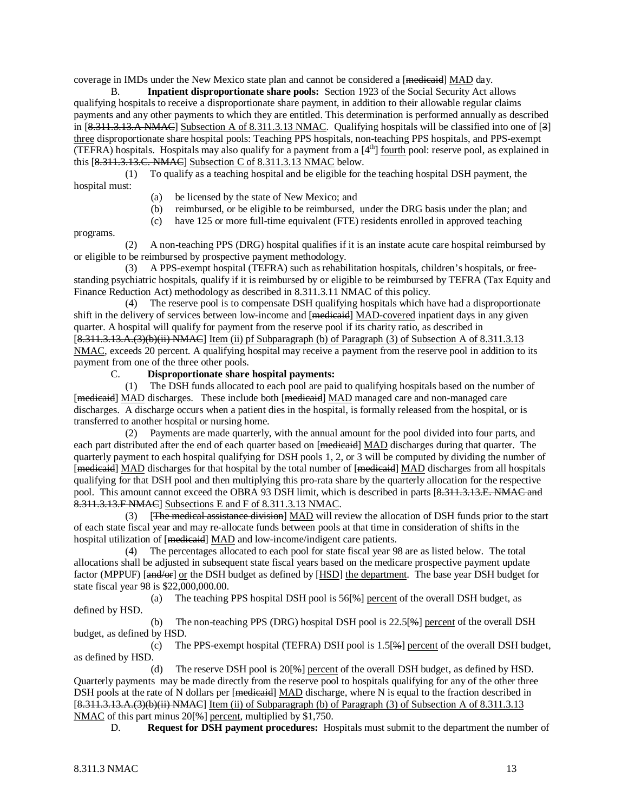coverage in IMDs under the New Mexico state plan and cannot be considered a [<del>medicaid</del>] MAD day.

B. **Inpatient disproportionate share pools:** Section 1923 of the Social Security Act allows qualifying hospitals to receive a disproportionate share payment, in addition to their allowable regular claims payments and any other payments to which they are entitled. This determination is performed annually as described in [8.311.3.13.A NMAC] Subsection A of 8.311.3.13 NMAC. Qualifying hospitals will be classified into one of [3] three disproportionate share hospital pools: Teaching PPS hospitals, non-teaching PPS hospitals, and PPS-exempt (TEFRA) hospitals. Hospitals may also qualify for a payment from a [4th] fourth pool: reserve pool, as explained in this [8.311.3.13.C. NMAC] Subsection C of 8.311.3.13 NMAC below.

 (1) To qualify as a teaching hospital and be eligible for the teaching hospital DSH payment, the hospital must:

- (a) be licensed by the state of New Mexico; and
- (b) reimbursed, or be eligible to be reimbursed, under the DRG basis under the plan; and
- (c) have 125 or more full-time equivalent (FTE) residents enrolled in approved teaching

programs.

 (2) A non-teaching PPS (DRG) hospital qualifies if it is an instate acute care hospital reimbursed by or eligible to be reimbursed by prospective payment methodology.

 (3) A PPS-exempt hospital (TEFRA) such as rehabilitation hospitals, children's hospitals, or freestanding psychiatric hospitals, qualify if it is reimbursed by or eligible to be reimbursed by TEFRA (Tax Equity and Finance Reduction Act) methodology as described in 8.311.3.11 NMAC of this policy.

 (4) The reserve pool is to compensate DSH qualifying hospitals which have had a disproportionate shift in the delivery of services between low-income and [medientil] MAD-covered inpatient days in any given quarter. A hospital will qualify for payment from the reserve pool if its charity ratio, as described in  $[8.311.3.13.A.(3)(b)(ii) NMAC]$  Item (ii) pf Subparagraph (b) of Paragraph (3) of Subsection A of 8.311.3.13 NMAC, exceeds 20 percent. A qualifying hospital may receive a payment from the reserve pool in addition to its payment from one of the three other pools.

C. **Disproportionate share hospital payments:**

 (1) The DSH funds allocated to each pool are paid to qualifying hospitals based on the number of [medicaid] MAD discharges. These include both [medicaid] MAD managed care and non-managed care discharges. A discharge occurs when a patient dies in the hospital, is formally released from the hospital, or is transferred to another hospital or nursing home.

 (2) Payments are made quarterly, with the annual amount for the pool divided into four parts, and each part distributed after the end of each quarter based on [<del>medicaid</del>] MAD discharges during that quarter. The quarterly payment to each hospital qualifying for DSH pools 1, 2, or 3 will be computed by dividing the number of [medicaid] MAD discharges for that hospital by the total number of [medicaid] MAD discharges from all hospitals qualifying for that DSH pool and then multiplying this pro-rata share by the quarterly allocation for the respective pool. This amount cannot exceed the OBRA 93 DSH limit, which is described in parts [8.311.3.13.E. NMAC and 8.311.3.13.F NMAC] Subsections E and F of 8.311.3.13 NMAC.

(3) **The medical assistance division**] **MAD** will review the allocation of DSH funds prior to the start of each state fiscal year and may re-allocate funds between pools at that time in consideration of shifts in the hospital utilization of [medicaid] MAD and low-income/indigent care patients.

 (4) The percentages allocated to each pool for state fiscal year 98 are as listed below. The total allocations shall be adjusted in subsequent state fiscal years based on the medicare prospective payment update factor (MPPUF) [and/or] or the DSH budget as defined by [HSD] the department. The base year DSH budget for state fiscal year 98 is \$22,000,000.00.

(a) The teaching PPS hospital DSH pool is  $56\frac{1}{6}$  percent of the overall DSH budget, as defined by HSD.

(b) The non-teaching PPS (DRG) hospital DSH pool is  $22.5\%$  percent of the overall DSH budget, as defined by HSD.

(c) The PPS-exempt hospital (TEFRA) DSH pool is  $1.5[$ <del>%</del> $]$  percent of the overall DSH budget, as defined by HSD.

(d) The reserve DSH pool is  $20[\frac{10}{2}]$  percent of the overall DSH budget, as defined by HSD. Quarterly payments may be made directly from the reserve pool to hospitals qualifying for any of the other three DSH pools at the rate of N dollars per [medicaid] MAD discharge, where N is equal to the fraction described in [8.311.3.13.A.(3)(b)(ii) NMAC] Item (ii) of Subparagraph (b) of Paragraph (3) of Subsection A of 8.311.3.13 NMAC of this part minus 20[%] percent, multiplied by \$1,750.

D. **Request for DSH payment procedures:** Hospitals must submit to the department the number of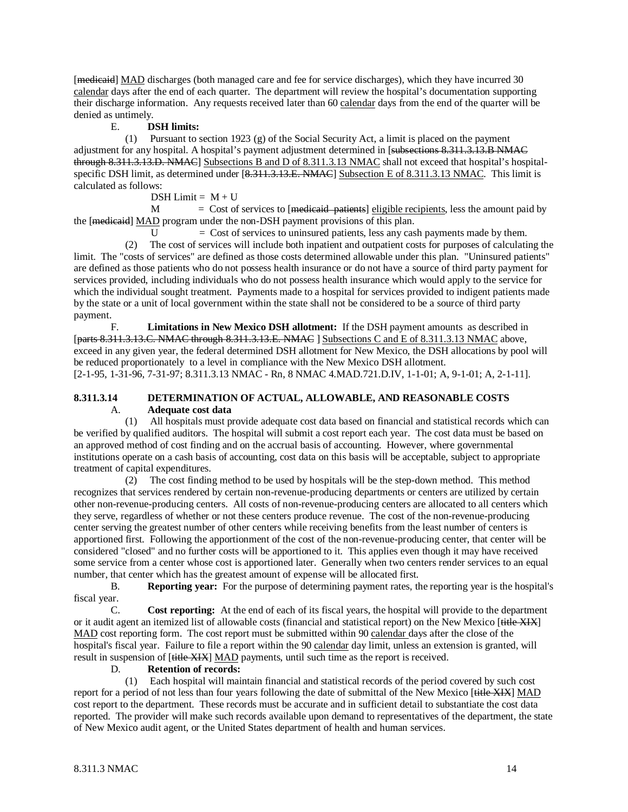[medicaid] MAD discharges (both managed care and fee for service discharges), which they have incurred 30 calendar days after the end of each quarter. The department will review the hospital's documentation supporting their discharge information. Any requests received later than 60 calendar days from the end of the quarter will be denied as untimely.

## E. **DSH limits:**

 (1) Pursuant to section 1923 (g) of the Social Security Act, a limit is placed on the payment adjustment for any hospital. A hospital's payment adjustment determined in [subsections 8.311.3.13.B NMAC through 8.311.3.13.D. NMAC] Subsections B and D of 8.311.3.13 NMAC shall not exceed that hospital's hospitalspecific DSH limit, as determined under [8.311.3.13.E. NMAC] Subsection E of 8.311.3.13 NMAC. This limit is calculated as follows:

 $DSH Limit = M + U$ 

 $M = \text{Cost of services to }[\text{medicaid-patients}]$  eligible recipients, less the amount paid by the [medicaid] MAD program under the non-DSH payment provisions of this plan.

 $U = \text{Cost of services to uninsureed patients, less any cash payments made by them.}$ 

 (2) The cost of services will include both inpatient and outpatient costs for purposes of calculating the limit. The "costs of services" are defined as those costs determined allowable under this plan. "Uninsured patients" are defined as those patients who do not possess health insurance or do not have a source of third party payment for services provided, including individuals who do not possess health insurance which would apply to the service for which the individual sought treatment. Payments made to a hospital for services provided to indigent patients made by the state or a unit of local government within the state shall not be considered to be a source of third party payment.

F. **Limitations in New Mexico DSH allotment:** If the DSH payment amounts as described in [parts 8.311.3.13.C. NMAC through 8.311.3.13.E. NMAC ] Subsections C and E of 8.311.3.13 NMAC above, [2-1-95, 1-31-96, 7-31-97; 8.311.3.13 NMAC - Rn, 8 NMAC 4.MAD.721.D.IV, 1-1-01; A, 9-1-01; A, 2-1-11]. exceed in any given year, the federal determined DSH allotment for New Mexico, the DSH allocations by pool will be reduced proportionately to a level in compliance with the New Mexico DSH allotment.

## **8.311.3.14 DETERMINATION OF ACTUAL, ALLOWABLE, AND REASONABLE COSTS** A. **Adequate cost data**

 (1) All hospitals must provide adequate cost data based on financial and statistical records which can be verified by qualified auditors. The hospital will submit a cost report each year. The cost data must be based on an approved method of cost finding and on the accrual basis of accounting. However, where governmental institutions operate on a cash basis of accounting, cost data on this basis will be acceptable, subject to appropriate treatment of capital expenditures.

 (2) The cost finding method to be used by hospitals will be the step-down method. This method recognizes that services rendered by certain non-revenue-producing departments or centers are utilized by certain other non-revenue-producing centers. All costs of non-revenue-producing centers are allocated to all centers which they serve, regardless of whether or not these centers produce revenue. The cost of the non-revenue-producing center serving the greatest number of other centers while receiving benefits from the least number of centers is apportioned first. Following the apportionment of the cost of the non-revenue-producing center, that center will be considered "closed" and no further costs will be apportioned to it. This applies even though it may have received some service from a center whose cost is apportioned later. Generally when two centers render services to an equal number, that center which has the greatest amount of expense will be allocated first.<br>B. **Reporting vear:** For the purpose of determining payment rates, the

B. **Reporting year:** For the purpose of determining payment rates, the reporting year is the hospital's fiscal year.

C. **Cost reporting:** At the end of each of its fiscal years, the hospital will provide to the department or it audit agent an itemized list of allowable costs (financial and statistical report) on the New Mexico [title XIX] MAD cost reporting form. The cost report must be submitted within 90 calendar days after the close of the hospital's fiscal year. Failure to file a report within the 90 calendar day limit, unless an extension is granted, will result in suspension of [<del>title XIX</del>] MAD payments, until such time as the report is received.

### D. **Retention of records:**

 (1) Each hospital will maintain financial and statistical records of the period covered by such cost report for a period of not less than four years following the date of submittal of the New Mexico [title XIX] MAD cost report to the department. These records must be accurate and in sufficient detail to substantiate the cost data reported. The provider will make such records available upon demand to representatives of the department, the state of New Mexico audit agent, or the United States department of health and human services.